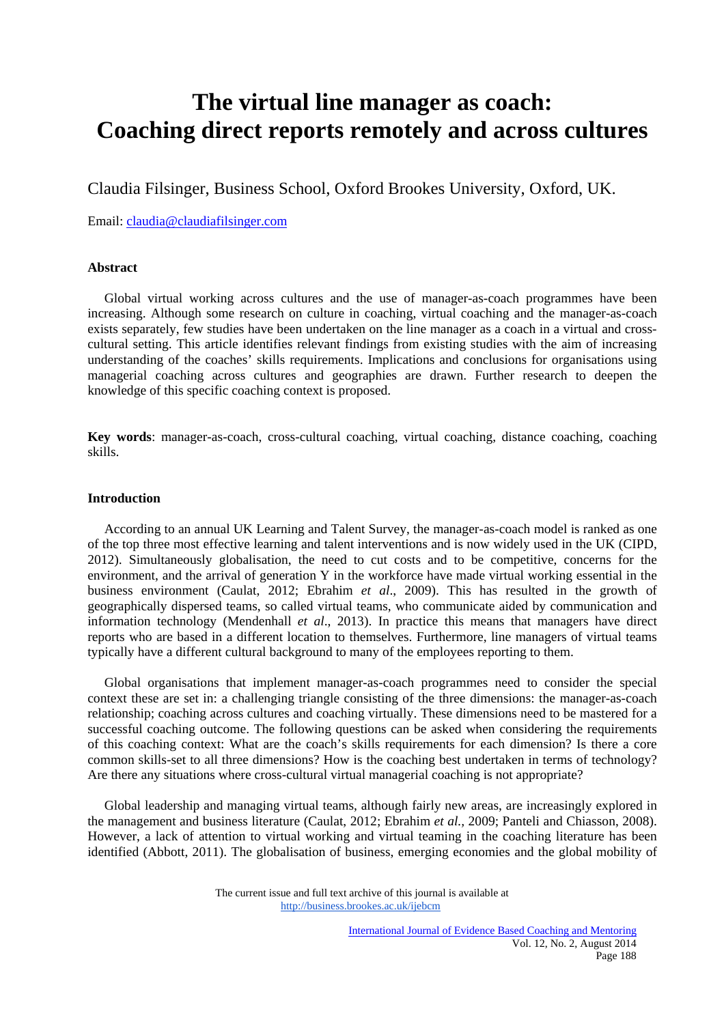# **The virtual line manager as coach: Coaching direct reports remotely and across cultures**

Claudia Filsinger, Business School, Oxford Brookes University, Oxford, UK.

Email: claudia@claudiafilsinger.com

### **Abstract**

 Global virtual working across cultures and the use of manager-as-coach programmes have been increasing. Although some research on culture in coaching, virtual coaching and the manager-as-coach exists separately, few studies have been undertaken on the line manager as a coach in a virtual and crosscultural setting. This article identifies relevant findings from existing studies with the aim of increasing understanding of the coaches' skills requirements. Implications and conclusions for organisations using managerial coaching across cultures and geographies are drawn. Further research to deepen the knowledge of this specific coaching context is proposed.

**Key words**: manager-as-coach, cross-cultural coaching, virtual coaching, distance coaching, coaching skills.

## **Introduction**

 According to an annual UK Learning and Talent Survey, the manager-as-coach model is ranked as one of the top three most effective learning and talent interventions and is now widely used in the UK (CIPD, 2012). Simultaneously globalisation, the need to cut costs and to be competitive, concerns for the environment, and the arrival of generation Y in the workforce have made virtual working essential in the business environment (Caulat, 2012; Ebrahim *et al*., 2009). This has resulted in the growth of geographically dispersed teams, so called virtual teams, who communicate aided by communication and information technology (Mendenhall *et al*., 2013). In practice this means that managers have direct reports who are based in a different location to themselves. Furthermore, line managers of virtual teams typically have a different cultural background to many of the employees reporting to them.

 Global organisations that implement manager-as-coach programmes need to consider the special context these are set in: a challenging triangle consisting of the three dimensions: the manager-as-coach relationship; coaching across cultures and coaching virtually. These dimensions need to be mastered for a successful coaching outcome. The following questions can be asked when considering the requirements of this coaching context: What are the coach's skills requirements for each dimension? Is there a core common skills-set to all three dimensions? How is the coaching best undertaken in terms of technology? Are there any situations where cross-cultural virtual managerial coaching is not appropriate?

 Global leadership and managing virtual teams, although fairly new areas, are increasingly explored in the management and business literature (Caulat, 2012; Ebrahim *et al.,* 2009; Panteli and Chiasson, 2008). However, a lack of attention to virtual working and virtual teaming in the coaching literature has been identified (Abbott, 2011). The globalisation of business, emerging economies and the global mobility of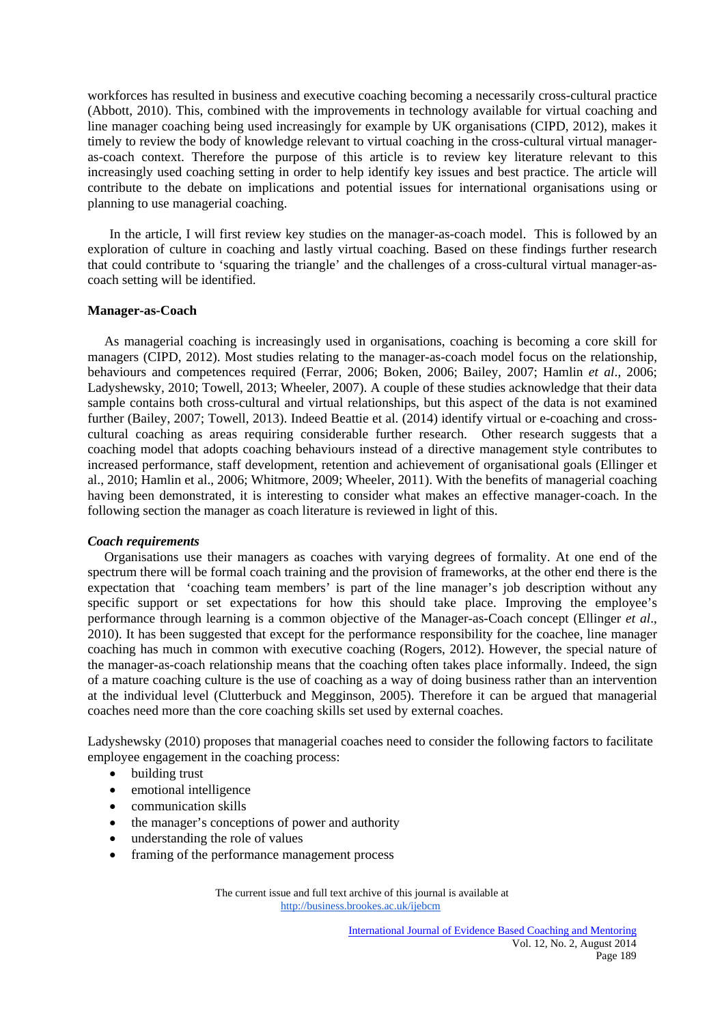workforces has resulted in business and executive coaching becoming a necessarily cross-cultural practice (Abbott, 2010). This, combined with the improvements in technology available for virtual coaching and line manager coaching being used increasingly for example by UK organisations (CIPD, 2012), makes it timely to review the body of knowledge relevant to virtual coaching in the cross-cultural virtual manageras-coach context. Therefore the purpose of this article is to review key literature relevant to this increasingly used coaching setting in order to help identify key issues and best practice. The article will contribute to the debate on implications and potential issues for international organisations using or planning to use managerial coaching.

 In the article, I will first review key studies on the manager-as-coach model. This is followed by an exploration of culture in coaching and lastly virtual coaching. Based on these findings further research that could contribute to 'squaring the triangle' and the challenges of a cross-cultural virtual manager-ascoach setting will be identified.

#### **Manager-as-Coach**

 As managerial coaching is increasingly used in organisations, coaching is becoming a core skill for managers (CIPD, 2012). Most studies relating to the manager-as-coach model focus on the relationship, behaviours and competences required (Ferrar, 2006; Boken, 2006; Bailey, 2007; Hamlin *et al*., 2006; Ladyshewsky, 2010; Towell, 2013; Wheeler, 2007). A couple of these studies acknowledge that their data sample contains both cross-cultural and virtual relationships, but this aspect of the data is not examined further (Bailey, 2007; Towell, 2013). Indeed Beattie et al. (2014) identify virtual or e-coaching and crosscultural coaching as areas requiring considerable further research. Other research suggests that a coaching model that adopts coaching behaviours instead of a directive management style contributes to increased performance, staff development, retention and achievement of organisational goals (Ellinger et al., 2010; Hamlin et al., 2006; Whitmore, 2009; Wheeler, 2011). With the benefits of managerial coaching having been demonstrated, it is interesting to consider what makes an effective manager-coach. In the following section the manager as coach literature is reviewed in light of this.

## *Coach requirements*

 Organisations use their managers as coaches with varying degrees of formality. At one end of the spectrum there will be formal coach training and the provision of frameworks, at the other end there is the expectation that 'coaching team members' is part of the line manager's job description without any specific support or set expectations for how this should take place. Improving the employee's performance through learning is a common objective of the Manager-as-Coach concept (Ellinger *et al*., 2010). It has been suggested that except for the performance responsibility for the coachee, line manager coaching has much in common with executive coaching (Rogers, 2012). However, the special nature of the manager-as-coach relationship means that the coaching often takes place informally. Indeed, the sign of a mature coaching culture is the use of coaching as a way of doing business rather than an intervention at the individual level (Clutterbuck and Megginson, 2005). Therefore it can be argued that managerial coaches need more than the core coaching skills set used by external coaches.

Ladyshewsky (2010) proposes that managerial coaches need to consider the following factors to facilitate employee engagement in the coaching process:

- building trust
- emotional intelligence
- communication skills
- the manager's conceptions of power and authority
- understanding the role of values
- framing of the performance management process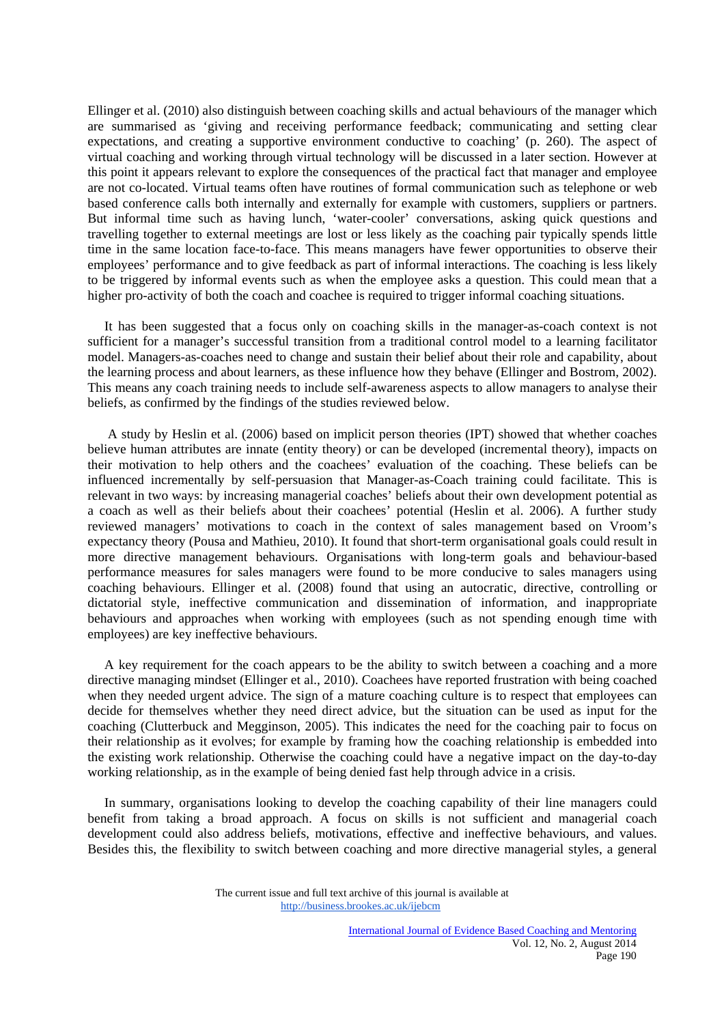Ellinger et al. (2010) also distinguish between coaching skills and actual behaviours of the manager which are summarised as 'giving and receiving performance feedback; communicating and setting clear expectations, and creating a supportive environment conductive to coaching' (p. 260). The aspect of virtual coaching and working through virtual technology will be discussed in a later section. However at this point it appears relevant to explore the consequences of the practical fact that manager and employee are not co-located. Virtual teams often have routines of formal communication such as telephone or web based conference calls both internally and externally for example with customers, suppliers or partners. But informal time such as having lunch, 'water-cooler' conversations, asking quick questions and travelling together to external meetings are lost or less likely as the coaching pair typically spends little time in the same location face-to-face. This means managers have fewer opportunities to observe their employees' performance and to give feedback as part of informal interactions. The coaching is less likely to be triggered by informal events such as when the employee asks a question. This could mean that a higher pro-activity of both the coach and coachee is required to trigger informal coaching situations.

 It has been suggested that a focus only on coaching skills in the manager-as-coach context is not sufficient for a manager's successful transition from a traditional control model to a learning facilitator model. Managers-as-coaches need to change and sustain their belief about their role and capability, about the learning process and about learners, as these influence how they behave (Ellinger and Bostrom, 2002). This means any coach training needs to include self-awareness aspects to allow managers to analyse their beliefs, as confirmed by the findings of the studies reviewed below.

 A study by Heslin et al. (2006) based on implicit person theories (IPT) showed that whether coaches believe human attributes are innate (entity theory) or can be developed (incremental theory), impacts on their motivation to help others and the coachees' evaluation of the coaching. These beliefs can be influenced incrementally by self-persuasion that Manager-as-Coach training could facilitate. This is relevant in two ways: by increasing managerial coaches' beliefs about their own development potential as a coach as well as their beliefs about their coachees' potential (Heslin et al. 2006). A further study reviewed managers' motivations to coach in the context of sales management based on Vroom's expectancy theory (Pousa and Mathieu, 2010). It found that short-term organisational goals could result in more directive management behaviours. Organisations with long-term goals and behaviour-based performance measures for sales managers were found to be more conducive to sales managers using coaching behaviours. Ellinger et al. (2008) found that using an autocratic, directive, controlling or dictatorial style, ineffective communication and dissemination of information, and inappropriate behaviours and approaches when working with employees (such as not spending enough time with employees) are key ineffective behaviours.

 A key requirement for the coach appears to be the ability to switch between a coaching and a more directive managing mindset (Ellinger et al., 2010). Coachees have reported frustration with being coached when they needed urgent advice. The sign of a mature coaching culture is to respect that employees can decide for themselves whether they need direct advice, but the situation can be used as input for the coaching (Clutterbuck and Megginson, 2005). This indicates the need for the coaching pair to focus on their relationship as it evolves; for example by framing how the coaching relationship is embedded into the existing work relationship. Otherwise the coaching could have a negative impact on the day-to-day working relationship, as in the example of being denied fast help through advice in a crisis.

 In summary, organisations looking to develop the coaching capability of their line managers could benefit from taking a broad approach. A focus on skills is not sufficient and managerial coach development could also address beliefs, motivations, effective and ineffective behaviours, and values. Besides this, the flexibility to switch between coaching and more directive managerial styles, a general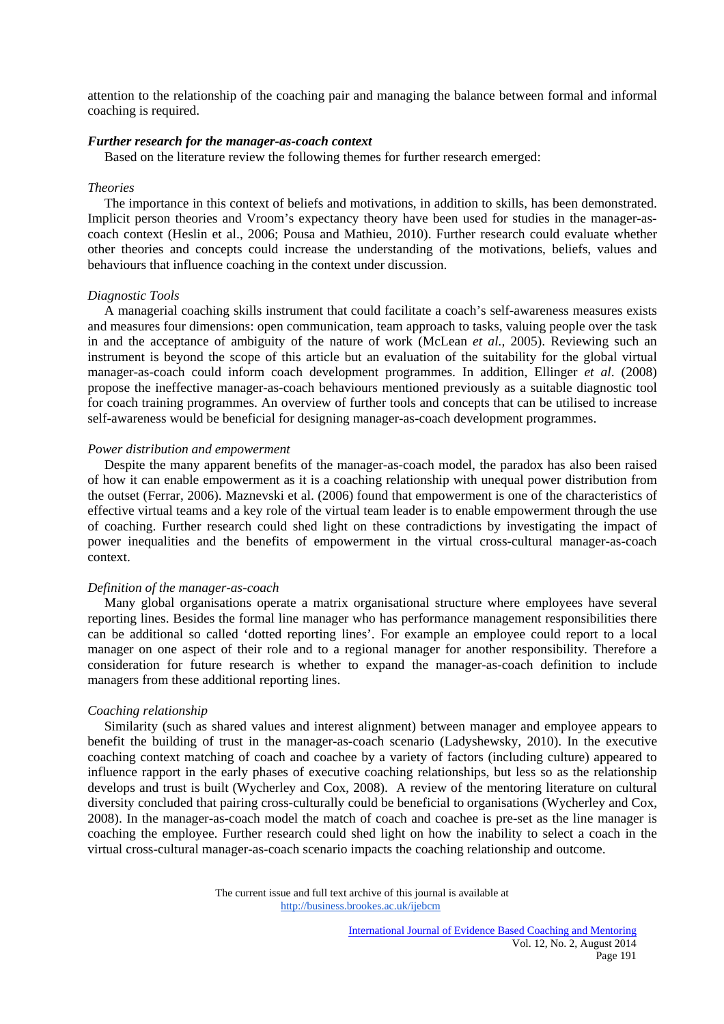attention to the relationship of the coaching pair and managing the balance between formal and informal coaching is required.

#### *Further research for the manager-as-coach context*

Based on the literature review the following themes for further research emerged:

#### *Theories*

 The importance in this context of beliefs and motivations, in addition to skills, has been demonstrated. Implicit person theories and Vroom's expectancy theory have been used for studies in the manager-ascoach context (Heslin et al., 2006; Pousa and Mathieu, 2010). Further research could evaluate whether other theories and concepts could increase the understanding of the motivations, beliefs, values and behaviours that influence coaching in the context under discussion.

#### *Diagnostic Tools*

 A managerial coaching skills instrument that could facilitate a coach's self-awareness measures exists and measures four dimensions: open communication, team approach to tasks, valuing people over the task in and the acceptance of ambiguity of the nature of work (McLean *et al.,* 2005). Reviewing such an instrument is beyond the scope of this article but an evaluation of the suitability for the global virtual manager-as-coach could inform coach development programmes. In addition, Ellinger *et al*. (2008) propose the ineffective manager-as-coach behaviours mentioned previously as a suitable diagnostic tool for coach training programmes. An overview of further tools and concepts that can be utilised to increase self-awareness would be beneficial for designing manager-as-coach development programmes.

#### *Power distribution and empowerment*

 Despite the many apparent benefits of the manager-as-coach model, the paradox has also been raised of how it can enable empowerment as it is a coaching relationship with unequal power distribution from the outset (Ferrar, 2006). Maznevski et al. (2006) found that empowerment is one of the characteristics of effective virtual teams and a key role of the virtual team leader is to enable empowerment through the use of coaching. Further research could shed light on these contradictions by investigating the impact of power inequalities and the benefits of empowerment in the virtual cross-cultural manager-as-coach context.

### *Definition of the manager-as-coach*

 Many global organisations operate a matrix organisational structure where employees have several reporting lines. Besides the formal line manager who has performance management responsibilities there can be additional so called 'dotted reporting lines'. For example an employee could report to a local manager on one aspect of their role and to a regional manager for another responsibility*.* Therefore a consideration for future research is whether to expand the manager-as-coach definition to include managers from these additional reporting lines.

#### *Coaching relationship*

 Similarity (such as shared values and interest alignment) between manager and employee appears to benefit the building of trust in the manager-as-coach scenario (Ladyshewsky, 2010). In the executive coaching context matching of coach and coachee by a variety of factors (including culture) appeared to influence rapport in the early phases of executive coaching relationships, but less so as the relationship develops and trust is built (Wycherley and Cox, 2008). A review of the mentoring literature on cultural diversity concluded that pairing cross-culturally could be beneficial to organisations (Wycherley and Cox, 2008). In the manager-as-coach model the match of coach and coachee is pre-set as the line manager is coaching the employee. Further research could shed light on how the inability to select a coach in the virtual cross-cultural manager-as-coach scenario impacts the coaching relationship and outcome.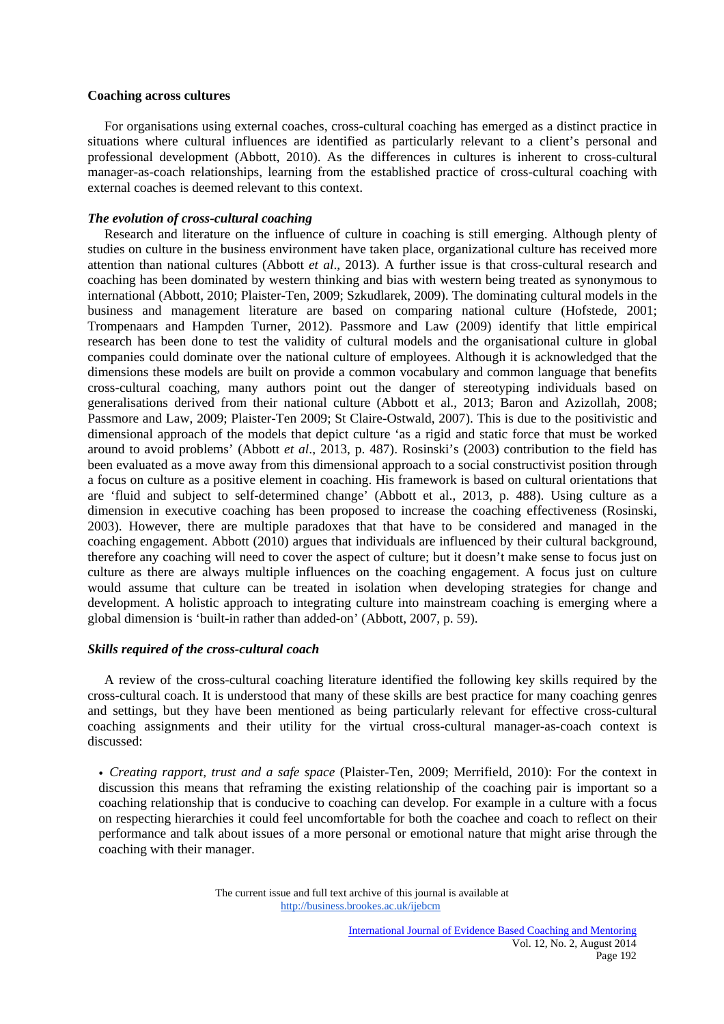### **Coaching across cultures**

 For organisations using external coaches, cross-cultural coaching has emerged as a distinct practice in situations where cultural influences are identified as particularly relevant to a client's personal and professional development (Abbott, 2010). As the differences in cultures is inherent to cross-cultural manager-as-coach relationships, learning from the established practice of cross-cultural coaching with external coaches is deemed relevant to this context.

# *The evolution of cross-cultural coaching*

 Research and literature on the influence of culture in coaching is still emerging. Although plenty of studies on culture in the business environment have taken place, organizational culture has received more attention than national cultures (Abbott *et al*., 2013). A further issue is that cross-cultural research and coaching has been dominated by western thinking and bias with western being treated as synonymous to international (Abbott, 2010; Plaister-Ten, 2009; Szkudlarek, 2009). The dominating cultural models in the business and management literature are based on comparing national culture (Hofstede, 2001; Trompenaars and Hampden Turner, 2012). Passmore and Law (2009) identify that little empirical research has been done to test the validity of cultural models and the organisational culture in global companies could dominate over the national culture of employees. Although it is acknowledged that the dimensions these models are built on provide a common vocabulary and common language that benefits cross-cultural coaching, many authors point out the danger of stereotyping individuals based on generalisations derived from their national culture (Abbott et al., 2013; Baron and Azizollah, 2008; Passmore and Law, 2009; Plaister-Ten 2009; St Claire-Ostwald, 2007). This is due to the positivistic and dimensional approach of the models that depict culture 'as a rigid and static force that must be worked around to avoid problems' (Abbott *et al*., 2013, p. 487). Rosinski's (2003) contribution to the field has been evaluated as a move away from this dimensional approach to a social constructivist position through a focus on culture as a positive element in coaching. His framework is based on cultural orientations that are 'fluid and subject to self-determined change' (Abbott et al., 2013, p. 488). Using culture as a dimension in executive coaching has been proposed to increase the coaching effectiveness (Rosinski, 2003). However, there are multiple paradoxes that that have to be considered and managed in the coaching engagement. Abbott (2010) argues that individuals are influenced by their cultural background, therefore any coaching will need to cover the aspect of culture; but it doesn't make sense to focus just on culture as there are always multiple influences on the coaching engagement. A focus just on culture would assume that culture can be treated in isolation when developing strategies for change and development. A holistic approach to integrating culture into mainstream coaching is emerging where a global dimension is 'built-in rather than added-on' (Abbott, 2007, p. 59).

# *Skills required of the cross-cultural coach*

 A review of the cross-cultural coaching literature identified the following key skills required by the cross-cultural coach. It is understood that many of these skills are best practice for many coaching genres and settings, but they have been mentioned as being particularly relevant for effective cross-cultural coaching assignments and their utility for the virtual cross-cultural manager-as-coach context is discussed:

• *Creating rapport, trust and a safe space* (Plaister-Ten, 2009; Merrifield, 2010): For the context in discussion this means that reframing the existing relationship of the coaching pair is important so a coaching relationship that is conducive to coaching can develop. For example in a culture with a focus on respecting hierarchies it could feel uncomfortable for both the coachee and coach to reflect on their performance and talk about issues of a more personal or emotional nature that might arise through the coaching with their manager.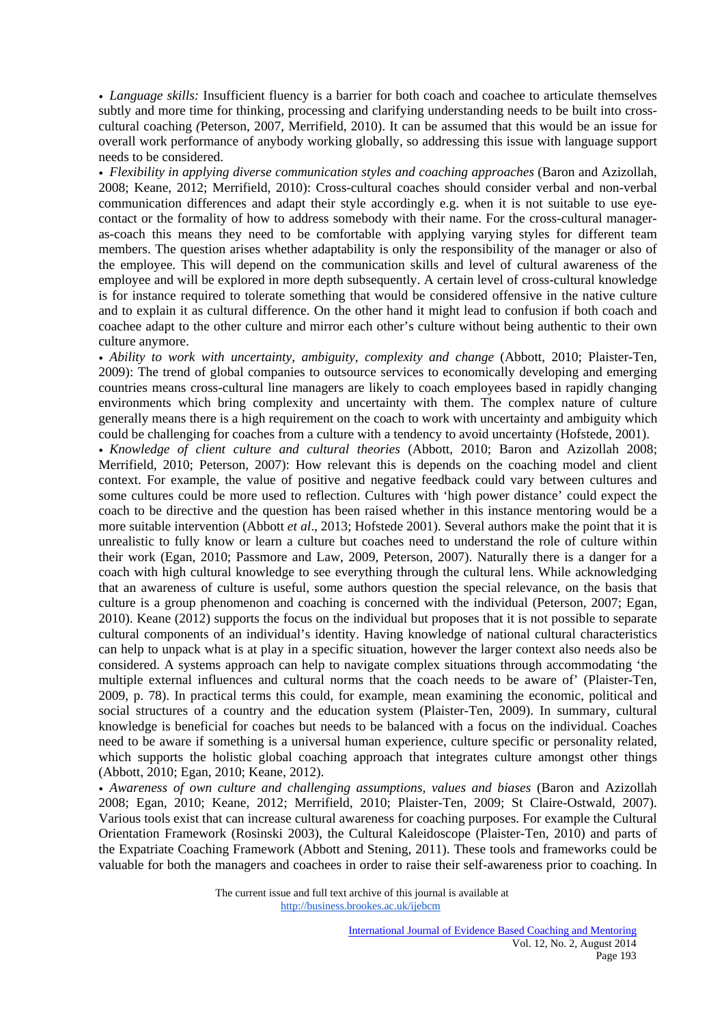• *Language skills:* Insufficient fluency is a barrier for both coach and coachee to articulate themselves subtly and more time for thinking, processing and clarifying understanding needs to be built into crosscultural coaching *(*Peterson, 2007*,* Merrifield, 2010). It can be assumed that this would be an issue for overall work performance of anybody working globally, so addressing this issue with language support needs to be considered.

• *Flexibility in applying diverse communication styles and coaching approaches* (Baron and Azizollah, 2008; Keane, 2012; Merrifield, 2010): Cross-cultural coaches should consider verbal and non-verbal communication differences and adapt their style accordingly e.g. when it is not suitable to use eyecontact or the formality of how to address somebody with their name. For the cross-cultural manageras-coach this means they need to be comfortable with applying varying styles for different team members. The question arises whether adaptability is only the responsibility of the manager or also of the employee. This will depend on the communication skills and level of cultural awareness of the employee and will be explored in more depth subsequently. A certain level of cross-cultural knowledge is for instance required to tolerate something that would be considered offensive in the native culture and to explain it as cultural difference. On the other hand it might lead to confusion if both coach and coachee adapt to the other culture and mirror each other's culture without being authentic to their own culture anymore.

• *Ability to work with uncertainty, ambiguity, complexity and change* (Abbott, 2010; Plaister-Ten, 2009): The trend of global companies to outsource services to economically developing and emerging countries means cross-cultural line managers are likely to coach employees based in rapidly changing environments which bring complexity and uncertainty with them. The complex nature of culture generally means there is a high requirement on the coach to work with uncertainty and ambiguity which could be challenging for coaches from a culture with a tendency to avoid uncertainty (Hofstede, 2001).

• *Knowledge of client culture and cultural theories* (Abbott, 2010; Baron and Azizollah 2008; Merrifield, 2010; Peterson, 2007): How relevant this is depends on the coaching model and client context. For example, the value of positive and negative feedback could vary between cultures and some cultures could be more used to reflection. Cultures with 'high power distance' could expect the coach to be directive and the question has been raised whether in this instance mentoring would be a more suitable intervention (Abbott *et al*., 2013; Hofstede 2001). Several authors make the point that it is unrealistic to fully know or learn a culture but coaches need to understand the role of culture within their work (Egan, 2010; Passmore and Law, 2009, Peterson, 2007). Naturally there is a danger for a coach with high cultural knowledge to see everything through the cultural lens. While acknowledging that an awareness of culture is useful, some authors question the special relevance, on the basis that culture is a group phenomenon and coaching is concerned with the individual (Peterson, 2007; Egan, 2010). Keane (2012) supports the focus on the individual but proposes that it is not possible to separate cultural components of an individual's identity. Having knowledge of national cultural characteristics can help to unpack what is at play in a specific situation, however the larger context also needs also be considered. A systems approach can help to navigate complex situations through accommodating 'the multiple external influences and cultural norms that the coach needs to be aware of' (Plaister-Ten, 2009, p. 78). In practical terms this could, for example, mean examining the economic, political and social structures of a country and the education system (Plaister-Ten, 2009). In summary, cultural knowledge is beneficial for coaches but needs to be balanced with a focus on the individual. Coaches need to be aware if something is a universal human experience, culture specific or personality related, which supports the holistic global coaching approach that integrates culture amongst other things (Abbott, 2010; Egan, 2010; Keane, 2012).

• *Awareness of own culture and challenging assumptions, values and biases* (Baron and Azizollah 2008; Egan, 2010; Keane, 2012; Merrifield, 2010; Plaister-Ten, 2009; St Claire-Ostwald, 2007). Various tools exist that can increase cultural awareness for coaching purposes. For example the Cultural Orientation Framework (Rosinski 2003), the Cultural Kaleidoscope (Plaister-Ten, 2010) and parts of the Expatriate Coaching Framework (Abbott and Stening, 2011). These tools and frameworks could be valuable for both the managers and coachees in order to raise their self-awareness prior to coaching. In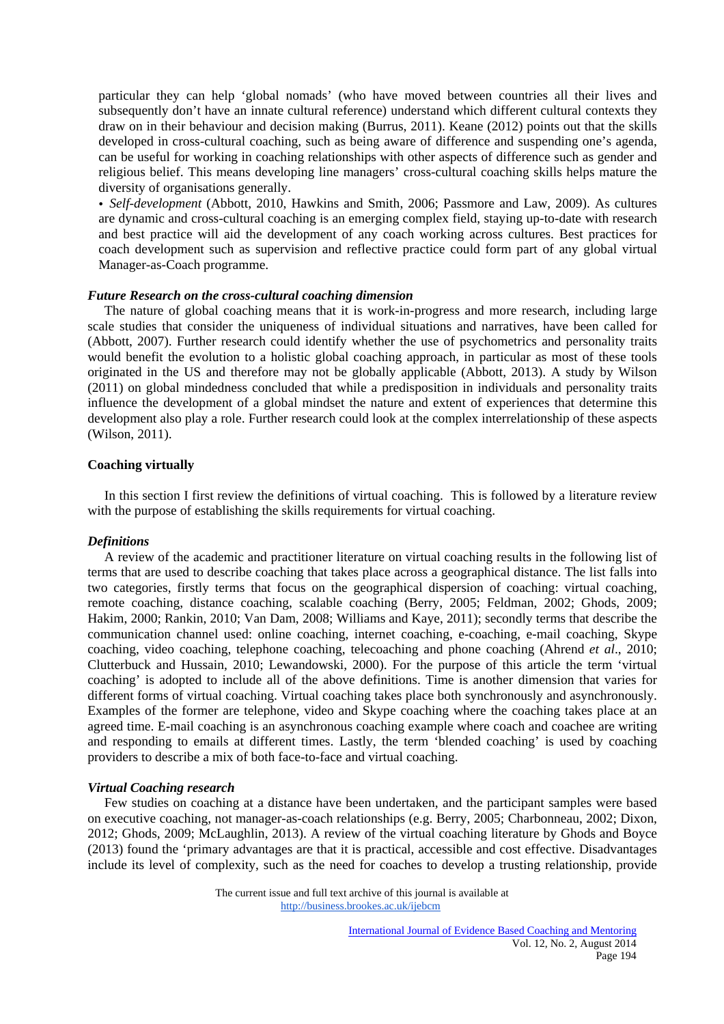particular they can help 'global nomads' (who have moved between countries all their lives and subsequently don't have an innate cultural reference) understand which different cultural contexts they draw on in their behaviour and decision making (Burrus, 2011). Keane (2012) points out that the skills developed in cross-cultural coaching, such as being aware of difference and suspending one's agenda, can be useful for working in coaching relationships with other aspects of difference such as gender and religious belief. This means developing line managers' cross-cultural coaching skills helps mature the diversity of organisations generally.

• *Self-development* (Abbott, 2010, Hawkins and Smith, 2006; Passmore and Law, 2009). As cultures are dynamic and cross-cultural coaching is an emerging complex field, staying up-to-date with research and best practice will aid the development of any coach working across cultures. Best practices for coach development such as supervision and reflective practice could form part of any global virtual Manager-as-Coach programme.

#### *Future Research on the cross-cultural coaching dimension*

 The nature of global coaching means that it is work-in-progress and more research, including large scale studies that consider the uniqueness of individual situations and narratives, have been called for (Abbott, 2007). Further research could identify whether the use of psychometrics and personality traits would benefit the evolution to a holistic global coaching approach, in particular as most of these tools originated in the US and therefore may not be globally applicable (Abbott, 2013). A study by Wilson (2011) on global mindedness concluded that while a predisposition in individuals and personality traits influence the development of a global mindset the nature and extent of experiences that determine this development also play a role. Further research could look at the complex interrelationship of these aspects (Wilson, 2011).

#### **Coaching virtually**

 In this section I first review the definitions of virtual coaching. This is followed by a literature review with the purpose of establishing the skills requirements for virtual coaching.

## *Definitions*

 A review of the academic and practitioner literature on virtual coaching results in the following list of terms that are used to describe coaching that takes place across a geographical distance. The list falls into two categories, firstly terms that focus on the geographical dispersion of coaching: virtual coaching, remote coaching, distance coaching, scalable coaching (Berry, 2005; Feldman, 2002; Ghods, 2009; Hakim, 2000; Rankin, 2010; Van Dam, 2008; Williams and Kaye, 2011); secondly terms that describe the communication channel used: online coaching, internet coaching, e-coaching, e-mail coaching, Skype coaching, video coaching, telephone coaching, telecoaching and phone coaching (Ahrend *et al*., 2010; Clutterbuck and Hussain, 2010; Lewandowski, 2000). For the purpose of this article the term 'virtual coaching' is adopted to include all of the above definitions. Time is another dimension that varies for different forms of virtual coaching. Virtual coaching takes place both synchronously and asynchronously. Examples of the former are telephone, video and Skype coaching where the coaching takes place at an agreed time. E-mail coaching is an asynchronous coaching example where coach and coachee are writing and responding to emails at different times. Lastly, the term 'blended coaching' is used by coaching providers to describe a mix of both face-to-face and virtual coaching.

#### *Virtual Coaching research*

 Few studies on coaching at a distance have been undertaken, and the participant samples were based on executive coaching, not manager-as-coach relationships (e.g. Berry, 2005; Charbonneau, 2002; Dixon, 2012; Ghods, 2009; McLaughlin, 2013). A review of the virtual coaching literature by Ghods and Boyce (2013) found the 'primary advantages are that it is practical, accessible and cost effective. Disadvantages include its level of complexity, such as the need for coaches to develop a trusting relationship, provide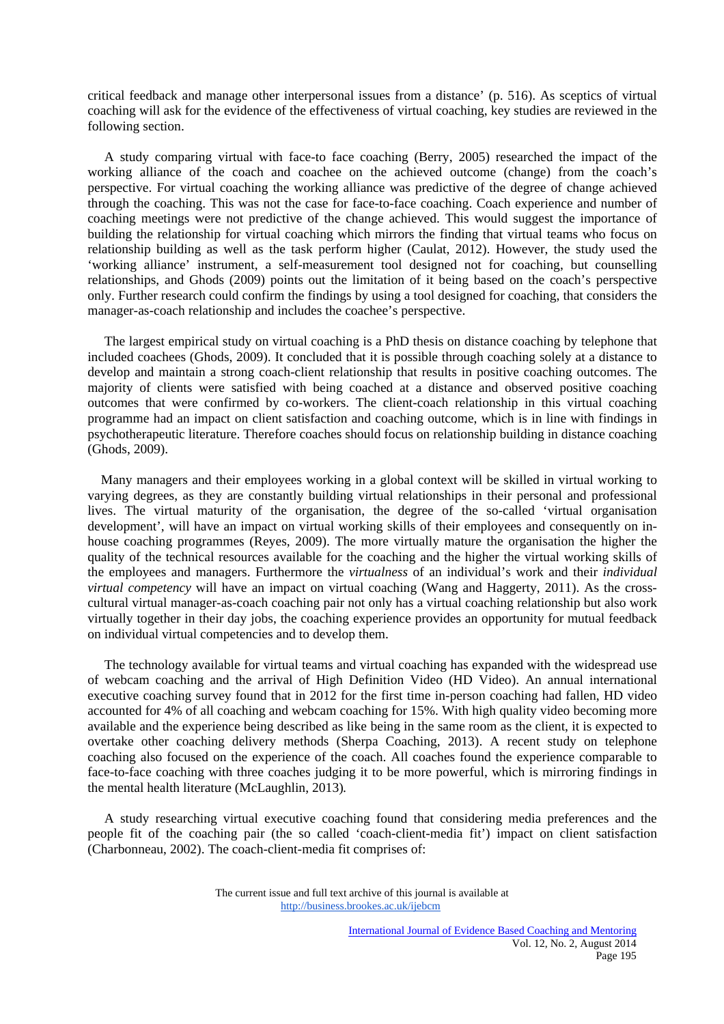critical feedback and manage other interpersonal issues from a distance' (p. 516). As sceptics of virtual coaching will ask for the evidence of the effectiveness of virtual coaching, key studies are reviewed in the following section.

 A study comparing virtual with face-to face coaching (Berry, 2005) researched the impact of the working alliance of the coach and coachee on the achieved outcome (change) from the coach's perspective. For virtual coaching the working alliance was predictive of the degree of change achieved through the coaching. This was not the case for face-to-face coaching. Coach experience and number of coaching meetings were not predictive of the change achieved. This would suggest the importance of building the relationship for virtual coaching which mirrors the finding that virtual teams who focus on relationship building as well as the task perform higher (Caulat, 2012). However, the study used the 'working alliance' instrument, a self-measurement tool designed not for coaching, but counselling relationships, and Ghods (2009) points out the limitation of it being based on the coach's perspective only. Further research could confirm the findings by using a tool designed for coaching, that considers the manager-as-coach relationship and includes the coachee's perspective.

 The largest empirical study on virtual coaching is a PhD thesis on distance coaching by telephone that included coachees (Ghods, 2009). It concluded that it is possible through coaching solely at a distance to develop and maintain a strong coach-client relationship that results in positive coaching outcomes. The majority of clients were satisfied with being coached at a distance and observed positive coaching outcomes that were confirmed by co-workers. The client-coach relationship in this virtual coaching programme had an impact on client satisfaction and coaching outcome, which is in line with findings in psychotherapeutic literature. Therefore coaches should focus on relationship building in distance coaching (Ghods, 2009).

 Many managers and their employees working in a global context will be skilled in virtual working to varying degrees, as they are constantly building virtual relationships in their personal and professional lives. The virtual maturity of the organisation, the degree of the so-called 'virtual organisation development', will have an impact on virtual working skills of their employees and consequently on inhouse coaching programmes (Reyes, 2009). The more virtually mature the organisation the higher the quality of the technical resources available for the coaching and the higher the virtual working skills of the employees and managers. Furthermore the *virtualness* of an individual's work and their *individual virtual competency* will have an impact on virtual coaching (Wang and Haggerty, 2011). As the crosscultural virtual manager-as-coach coaching pair not only has a virtual coaching relationship but also work virtually together in their day jobs, the coaching experience provides an opportunity for mutual feedback on individual virtual competencies and to develop them.

 The technology available for virtual teams and virtual coaching has expanded with the widespread use of webcam coaching and the arrival of High Definition Video (HD Video). An annual international executive coaching survey found that in 2012 for the first time in-person coaching had fallen, HD video accounted for 4% of all coaching and webcam coaching for 15%. With high quality video becoming more available and the experience being described as like being in the same room as the client, it is expected to overtake other coaching delivery methods (Sherpa Coaching, 2013). A recent study on telephone coaching also focused on the experience of the coach. All coaches found the experience comparable to face-to-face coaching with three coaches judging it to be more powerful, which is mirroring findings in the mental health literature (McLaughlin, 2013)*.*

 A study researching virtual executive coaching found that considering media preferences and the people fit of the coaching pair (the so called 'coach-client-media fit') impact on client satisfaction (Charbonneau, 2002). The coach-client-media fit comprises of: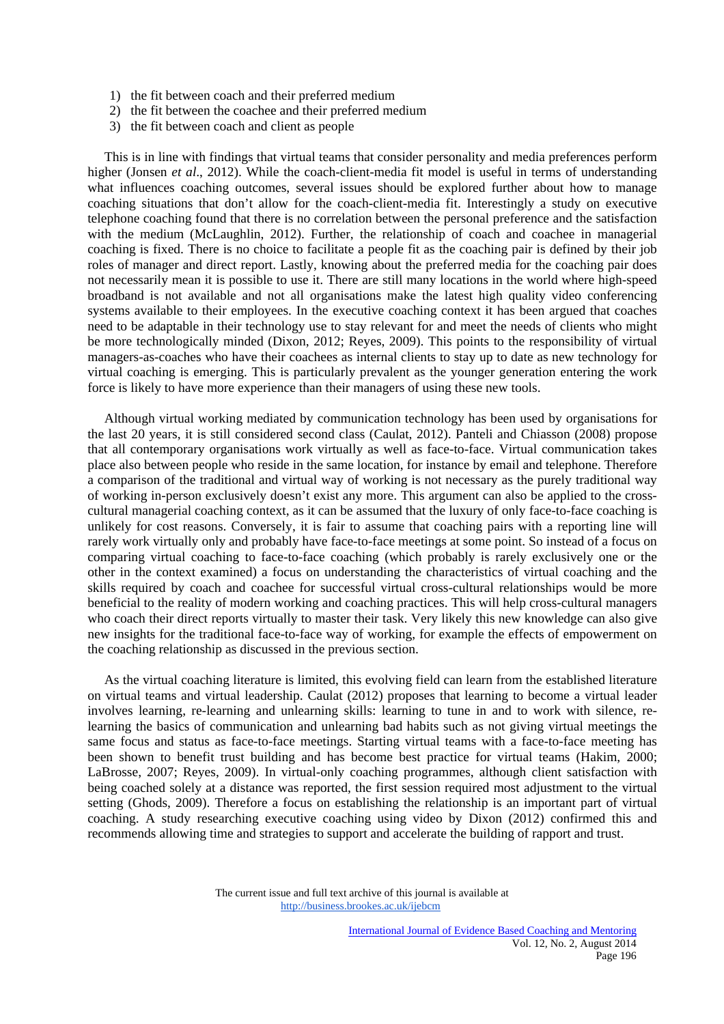- 1) the fit between coach and their preferred medium
- 2) the fit between the coachee and their preferred medium
- 3) the fit between coach and client as people

 This is in line with findings that virtual teams that consider personality and media preferences perform higher (Jonsen *et al.*, 2012). While the coach-client-media fit model is useful in terms of understanding what influences coaching outcomes, several issues should be explored further about how to manage coaching situations that don't allow for the coach-client-media fit. Interestingly a study on executive telephone coaching found that there is no correlation between the personal preference and the satisfaction with the medium (McLaughlin, 2012). Further, the relationship of coach and coachee in managerial coaching is fixed. There is no choice to facilitate a people fit as the coaching pair is defined by their job roles of manager and direct report. Lastly, knowing about the preferred media for the coaching pair does not necessarily mean it is possible to use it. There are still many locations in the world where high-speed broadband is not available and not all organisations make the latest high quality video conferencing systems available to their employees. In the executive coaching context it has been argued that coaches need to be adaptable in their technology use to stay relevant for and meet the needs of clients who might be more technologically minded (Dixon, 2012; Reyes, 2009). This points to the responsibility of virtual managers-as-coaches who have their coachees as internal clients to stay up to date as new technology for virtual coaching is emerging. This is particularly prevalent as the younger generation entering the work force is likely to have more experience than their managers of using these new tools.

 Although virtual working mediated by communication technology has been used by organisations for the last 20 years, it is still considered second class (Caulat, 2012). Panteli and Chiasson (2008) propose that all contemporary organisations work virtually as well as face-to-face. Virtual communication takes place also between people who reside in the same location, for instance by email and telephone. Therefore a comparison of the traditional and virtual way of working is not necessary as the purely traditional way of working in-person exclusively doesn't exist any more. This argument can also be applied to the crosscultural managerial coaching context, as it can be assumed that the luxury of only face-to-face coaching is unlikely for cost reasons. Conversely, it is fair to assume that coaching pairs with a reporting line will rarely work virtually only and probably have face-to-face meetings at some point. So instead of a focus on comparing virtual coaching to face-to-face coaching (which probably is rarely exclusively one or the other in the context examined) a focus on understanding the characteristics of virtual coaching and the skills required by coach and coachee for successful virtual cross-cultural relationships would be more beneficial to the reality of modern working and coaching practices. This will help cross-cultural managers who coach their direct reports virtually to master their task. Very likely this new knowledge can also give new insights for the traditional face-to-face way of working, for example the effects of empowerment on the coaching relationship as discussed in the previous section.

 As the virtual coaching literature is limited, this evolving field can learn from the established literature on virtual teams and virtual leadership. Caulat (2012) proposes that learning to become a virtual leader involves learning, re-learning and unlearning skills: learning to tune in and to work with silence, relearning the basics of communication and unlearning bad habits such as not giving virtual meetings the same focus and status as face-to-face meetings. Starting virtual teams with a face-to-face meeting has been shown to benefit trust building and has become best practice for virtual teams (Hakim, 2000; LaBrosse, 2007; Reyes, 2009). In virtual-only coaching programmes, although client satisfaction with being coached solely at a distance was reported, the first session required most adjustment to the virtual setting (Ghods, 2009). Therefore a focus on establishing the relationship is an important part of virtual coaching. A study researching executive coaching using video by Dixon (2012) confirmed this and recommends allowing time and strategies to support and accelerate the building of rapport and trust.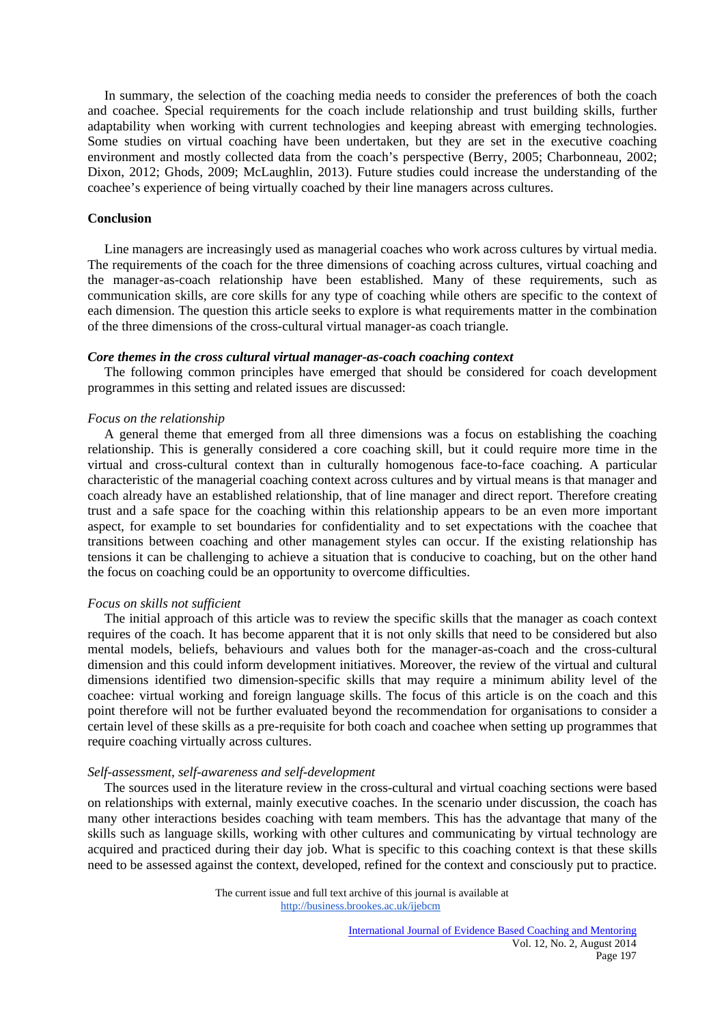In summary, the selection of the coaching media needs to consider the preferences of both the coach and coachee. Special requirements for the coach include relationship and trust building skills, further adaptability when working with current technologies and keeping abreast with emerging technologies. Some studies on virtual coaching have been undertaken, but they are set in the executive coaching environment and mostly collected data from the coach's perspective (Berry, 2005; Charbonneau, 2002; Dixon, 2012; Ghods, 2009; McLaughlin, 2013). Future studies could increase the understanding of the coachee's experience of being virtually coached by their line managers across cultures.

# **Conclusion**

 Line managers are increasingly used as managerial coaches who work across cultures by virtual media. The requirements of the coach for the three dimensions of coaching across cultures, virtual coaching and the manager-as-coach relationship have been established. Many of these requirements, such as communication skills, are core skills for any type of coaching while others are specific to the context of each dimension. The question this article seeks to explore is what requirements matter in the combination of the three dimensions of the cross-cultural virtual manager-as coach triangle.

## *Core themes in the cross cultural virtual manager-as-coach coaching context*

 The following common principles have emerged that should be considered for coach development programmes in this setting and related issues are discussed:

#### *Focus on the relationship*

 A general theme that emerged from all three dimensions was a focus on establishing the coaching relationship. This is generally considered a core coaching skill, but it could require more time in the virtual and cross-cultural context than in culturally homogenous face-to-face coaching. A particular characteristic of the managerial coaching context across cultures and by virtual means is that manager and coach already have an established relationship, that of line manager and direct report. Therefore creating trust and a safe space for the coaching within this relationship appears to be an even more important aspect, for example to set boundaries for confidentiality and to set expectations with the coachee that transitions between coaching and other management styles can occur. If the existing relationship has tensions it can be challenging to achieve a situation that is conducive to coaching, but on the other hand the focus on coaching could be an opportunity to overcome difficulties.

#### *Focus on skills not sufficient*

 The initial approach of this article was to review the specific skills that the manager as coach context requires of the coach. It has become apparent that it is not only skills that need to be considered but also mental models, beliefs, behaviours and values both for the manager-as-coach and the cross-cultural dimension and this could inform development initiatives. Moreover, the review of the virtual and cultural dimensions identified two dimension-specific skills that may require a minimum ability level of the coachee: virtual working and foreign language skills. The focus of this article is on the coach and this point therefore will not be further evaluated beyond the recommendation for organisations to consider a certain level of these skills as a pre-requisite for both coach and coachee when setting up programmes that require coaching virtually across cultures.

#### *Self-assessment, self-awareness and self-development*

 The sources used in the literature review in the cross-cultural and virtual coaching sections were based on relationships with external, mainly executive coaches. In the scenario under discussion, the coach has many other interactions besides coaching with team members. This has the advantage that many of the skills such as language skills, working with other cultures and communicating by virtual technology are acquired and practiced during their day job. What is specific to this coaching context is that these skills need to be assessed against the context, developed, refined for the context and consciously put to practice.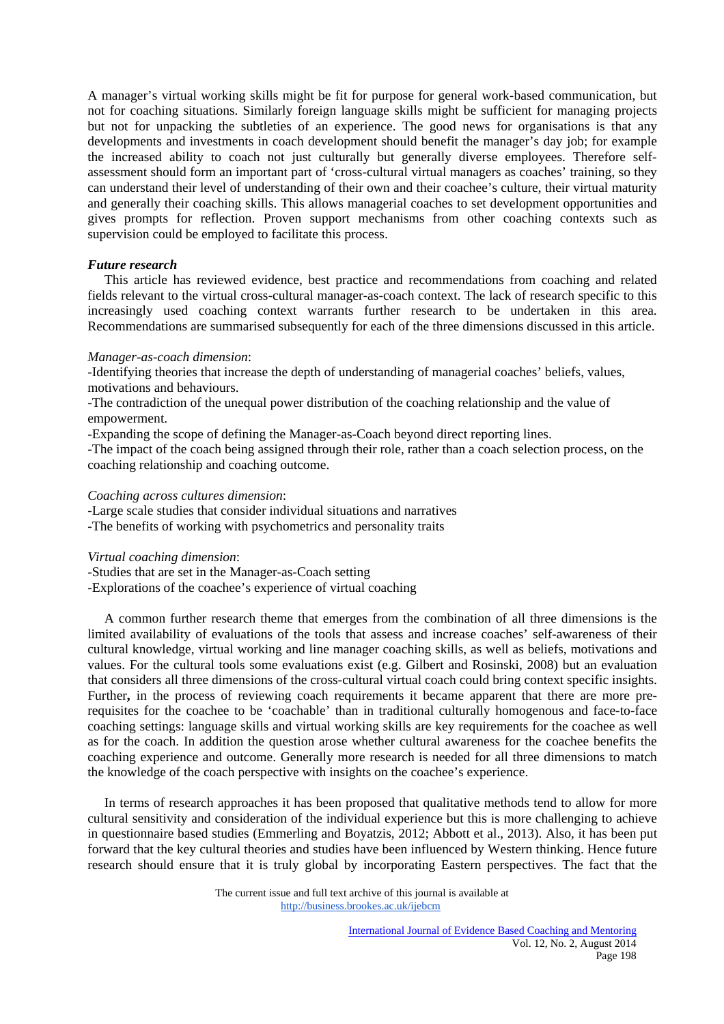A manager's virtual working skills might be fit for purpose for general work-based communication, but not for coaching situations. Similarly foreign language skills might be sufficient for managing projects but not for unpacking the subtleties of an experience. The good news for organisations is that any developments and investments in coach development should benefit the manager's day job; for example the increased ability to coach not just culturally but generally diverse employees. Therefore selfassessment should form an important part of 'cross-cultural virtual managers as coaches' training, so they can understand their level of understanding of their own and their coachee's culture, their virtual maturity and generally their coaching skills. This allows managerial coaches to set development opportunities and gives prompts for reflection. Proven support mechanisms from other coaching contexts such as supervision could be employed to facilitate this process.

# *Future research*

 This article has reviewed evidence, best practice and recommendations from coaching and related fields relevant to the virtual cross-cultural manager-as-coach context. The lack of research specific to this increasingly used coaching context warrants further research to be undertaken in this area. Recommendations are summarised subsequently for each of the three dimensions discussed in this article.

# *Manager-as-coach dimension*:

-Identifying theories that increase the depth of understanding of managerial coaches' beliefs, values, motivations and behaviours.

-The contradiction of the unequal power distribution of the coaching relationship and the value of empowerment.

-Expanding the scope of defining the Manager-as-Coach beyond direct reporting lines.

-The impact of the coach being assigned through their role, rather than a coach selection process, on the coaching relationship and coaching outcome.

## *Coaching across cultures dimension*:

-Large scale studies that consider individual situations and narratives

-The benefits of working with psychometrics and personality traits

## *Virtual coaching dimension*:

-Studies that are set in the Manager-as-Coach setting

-Explorations of the coachee's experience of virtual coaching

 A common further research theme that emerges from the combination of all three dimensions is the limited availability of evaluations of the tools that assess and increase coaches' self-awareness of their cultural knowledge, virtual working and line manager coaching skills, as well as beliefs, motivations and values. For the cultural tools some evaluations exist (e.g. Gilbert and Rosinski, 2008) but an evaluation that considers all three dimensions of the cross-cultural virtual coach could bring context specific insights. Further, in the process of reviewing coach requirements it became apparent that there are more prerequisites for the coachee to be 'coachable' than in traditional culturally homogenous and face-to-face coaching settings: language skills and virtual working skills are key requirements for the coachee as well as for the coach. In addition the question arose whether cultural awareness for the coachee benefits the coaching experience and outcome. Generally more research is needed for all three dimensions to match the knowledge of the coach perspective with insights on the coachee's experience.

 In terms of research approaches it has been proposed that qualitative methods tend to allow for more cultural sensitivity and consideration of the individual experience but this is more challenging to achieve in questionnaire based studies (Emmerling and Boyatzis, 2012; Abbott et al., 2013). Also, it has been put forward that the key cultural theories and studies have been influenced by Western thinking. Hence future research should ensure that it is truly global by incorporating Eastern perspectives. The fact that the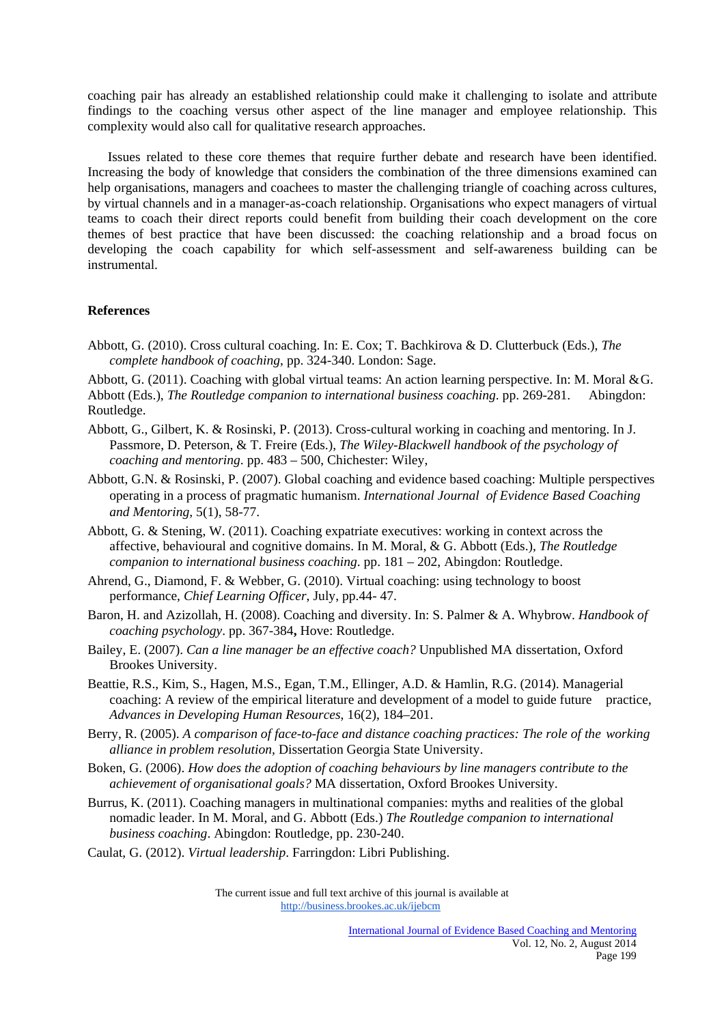coaching pair has already an established relationship could make it challenging to isolate and attribute findings to the coaching versus other aspect of the line manager and employee relationship. This complexity would also call for qualitative research approaches.

 Issues related to these core themes that require further debate and research have been identified. Increasing the body of knowledge that considers the combination of the three dimensions examined can help organisations, managers and coachees to master the challenging triangle of coaching across cultures, by virtual channels and in a manager-as-coach relationship. Organisations who expect managers of virtual teams to coach their direct reports could benefit from building their coach development on the core themes of best practice that have been discussed: the coaching relationship and a broad focus on developing the coach capability for which self-assessment and self-awareness building can be instrumental.

## **References**

Abbott, G. (2010). Cross cultural coaching. In: E. Cox; T. Bachkirova & D. Clutterbuck (Eds.), *The complete handbook of coaching*, pp. 324-340. London: Sage.

Abbott, G. (2011). Coaching with global virtual teams: An action learning perspective. In: M. Moral & G. Abbott (Eds.), *The Routledge companion to international business coaching*. pp. 269-281. Abingdon: Routledge.

- Abbott, G., Gilbert, K. & Rosinski, P. (2013). Cross-cultural working in coaching and mentoring. In J. Passmore, D. Peterson, & T. Freire (Eds.), *The Wiley-Blackwell handbook of the psychology of coaching and mentoring*. pp. 483 – 500, Chichester: Wiley,
- Abbott, G.N. & Rosinski, P. (2007). Global coaching and evidence based coaching: Multiple perspectives operating in a process of pragmatic humanism. *International Journal of Evidence Based Coaching and Mentoring,* 5(1), 58-77.
- Abbott, G. & Stening, W. (2011). Coaching expatriate executives: working in context across the affective, behavioural and cognitive domains. In M. Moral, & G. Abbott (Eds.), *The Routledge companion to international business coaching*. pp. 181 – 202, Abingdon: Routledge.
- Ahrend, G., Diamond, F. & Webber, G. (2010). Virtual coaching: using technology to boost performance, *Chief Learning Officer*, July, pp.44- 47.
- Baron, H. and Azizollah, H. (2008). Coaching and diversity. In: S. Palmer & A. Whybrow. *Handbook of coaching psychology*. pp. 367-384**,** Hove: Routledge.
- Bailey, E. (2007). *Can a line manager be an effective coach?* Unpublished MA dissertation, Oxford Brookes University.
- Beattie, R.S., Kim, S., Hagen, M.S., Egan, T.M., Ellinger, A.D. & Hamlin, R.G. (2014). Managerial coaching: A review of the empirical literature and development of a model to guide future practice, *Advances in Developing Human Resources*, 16(2), 184–201.
- Berry, R. (2005). *A comparison of face-to-face and distance coaching practices: The role of the working alliance in problem resolution,* Dissertation Georgia State University.
- Boken, G. (2006). *How does the adoption of coaching behaviours by line managers contribute to the achievement of organisational goals?* MA dissertation, Oxford Brookes University.
- Burrus, K. (2011). Coaching managers in multinational companies: myths and realities of the global nomadic leader. In M. Moral, and G. Abbott (Eds.) *The Routledge companion to international business coaching*. Abingdon: Routledge, pp. 230-240.
- Caulat, G. (2012). *Virtual leadership*. Farringdon: Libri Publishing.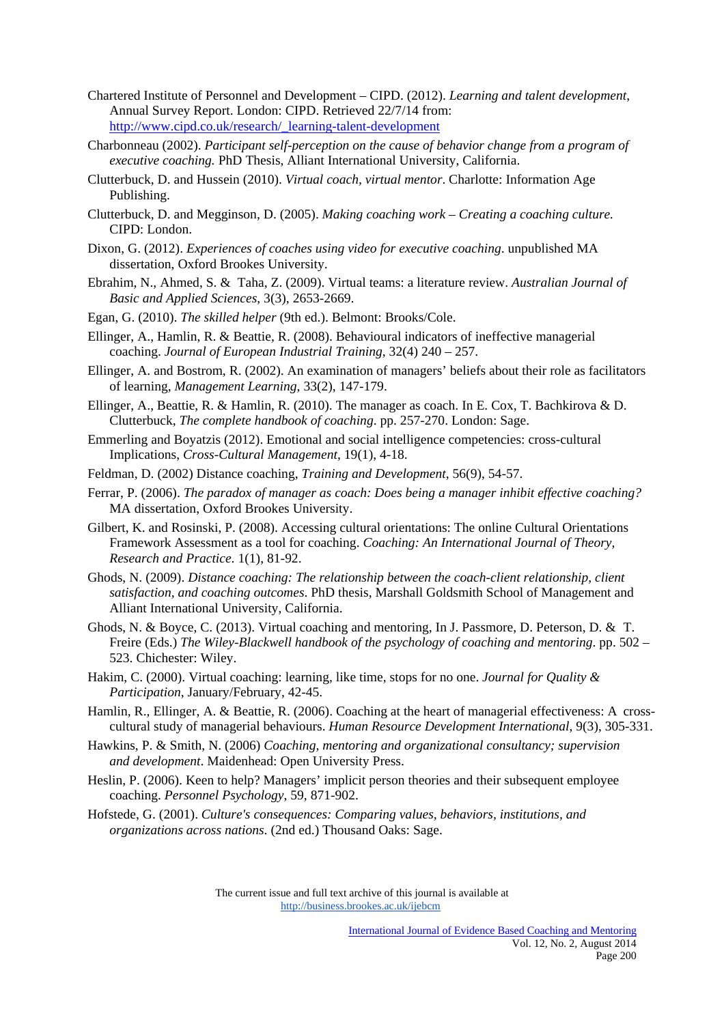- Chartered Institute of Personnel and Development CIPD. (2012). *Learning and talent development*, Annual Survey Report. London: CIPD. Retrieved 22/7/14 from: http://www.cipd.co.uk/research/\_learning-talent-development
- Charbonneau (2002). *Participant self-perception on the cause of behavior change from a program of executive coaching.* PhD Thesis, Alliant International University, California.
- Clutterbuck, D. and Hussein (2010). *Virtual coach, virtual mentor*. Charlotte: Information Age Publishing.
- Clutterbuck, D. and Megginson, D. (2005). *Making coaching work Creating a coaching culture.* CIPD: London.
- Dixon, G. (2012). *Experiences of coaches using video for executive coaching*. unpublished MA dissertation, Oxford Brookes University.
- Ebrahim, N., Ahmed, S. & Taha, Z. (2009). Virtual teams: a literature review. *Australian Journal of Basic and Applied Sciences*, 3(3), 2653-2669.
- Egan, G. (2010). *The skilled helper* (9th ed.). Belmont: Brooks/Cole.
- Ellinger, A., Hamlin, R. & Beattie, R. (2008). Behavioural indicators of ineffective managerial coaching. *Journal of European Industrial Training*, 32(4) 240 – 257.
- Ellinger, A. and Bostrom, R. (2002). An examination of managers' beliefs about their role as facilitators of learning, *Management Learning*, 33(2), 147-179.
- Ellinger, A., Beattie, R. & Hamlin, R. (2010). The manager as coach. In E. Cox, T. Bachkirova & D. Clutterbuck, *The complete handbook of coaching*. pp. 257-270. London: Sage.
- Emmerling and Boyatzis (2012). Emotional and social intelligence competencies: cross-cultural Implications, *Cross-Cultural Management*, 19(1), 4-18.
- Feldman, D. (2002) Distance coaching, *Training and Development*, 56(9), 54-57.
- Ferrar, P. (2006). *The paradox of manager as coach: Does being a manager inhibit effective coaching?* MA dissertation, Oxford Brookes University.
- Gilbert, K. and Rosinski, P. (2008). Accessing cultural orientations: The online Cultural Orientations Framework Assessment as a tool for coaching. *Coaching: An International Journal of Theory, Research and Practice*. 1(1), 81-92.
- Ghods, N. (2009). *Distance coaching: The relationship between the coach-client relationship, client satisfaction, and coaching outcomes*. PhD thesis, Marshall Goldsmith School of Management and Alliant International University, California.
- Ghods, N. & Boyce, C. (2013). Virtual coaching and mentoring, In J. Passmore, D. Peterson, D. & T. Freire (Eds.) *The Wiley-Blackwell handbook of the psychology of coaching and mentoring*. pp. 502 – 523. Chichester: Wiley.
- Hakim, C. (2000). Virtual coaching: learning, like time, stops for no one. *Journal for Quality & Participation*, January/February, 42-45.
- Hamlin, R., Ellinger, A. & Beattie, R. (2006). Coaching at the heart of managerial effectiveness: A cross cultural study of managerial behaviours. *Human Resource Development International*, 9(3), 305-331.
- Hawkins, P. & Smith, N. (2006) *Coaching, mentoring and organizational consultancy; supervision and development*. Maidenhead: Open University Press.
- Heslin, P. (2006). Keen to help? Managers' implicit person theories and their subsequent employee coaching. *Personnel Psychology*, 59, 871-902.
- Hofstede, G. (2001). *Culture's consequences: Comparing values, behaviors, institutions, and organizations across nations*. (2nd ed.) Thousand Oaks: Sage.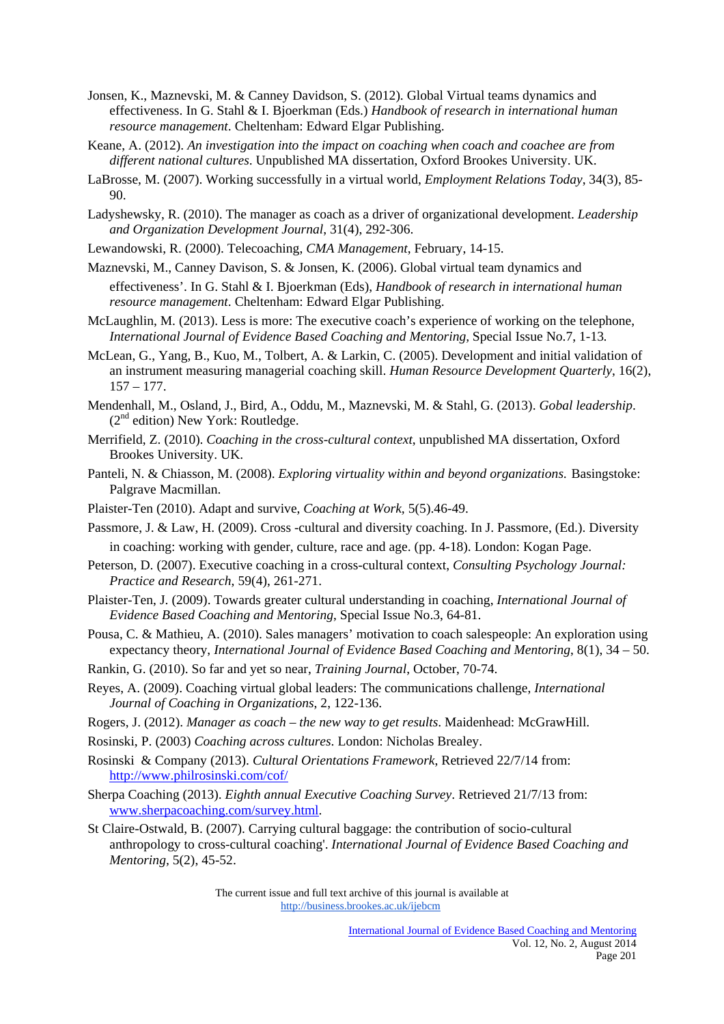- Jonsen, K., Maznevski, M. & Canney Davidson, S. (2012). Global Virtual teams dynamics and effectiveness. In G. Stahl & I. Bjoerkman (Eds.) *Handbook of research in international human resource management*. Cheltenham: Edward Elgar Publishing.
- Keane, A. (2012). *An investigation into the impact on coaching when coach and coachee are from different national cultures*. Unpublished MA dissertation, Oxford Brookes University. UK.
- LaBrosse, M. (2007). Working successfully in a virtual world, *Employment Relations Today*, 34(3), 85- 90.
- Ladyshewsky, R. (2010). The manager as coach as a driver of organizational development. *Leadership and Organization Development Journal*, 31(4), 292-306.
- Lewandowski, R. (2000). Telecoaching, *CMA Management*, February, 14-15.
- Maznevski, M., Canney Davison, S. & Jonsen, K. (2006). Global virtual team dynamics and effectiveness'. In G. Stahl & I. Bjoerkman (Eds), *Handbook of research in international human resource management*. Cheltenham: Edward Elgar Publishing.
- McLaughlin, M. (2013). Less is more: The executive coach's experience of working on the telephone,  *International Journal of Evidence Based Coaching and Mentoring,* Special Issue No.7, 1-13*.*
- McLean, G., Yang, B., Kuo, M., Tolbert, A. & Larkin, C. (2005). Development and initial validation of an instrument measuring managerial coaching skill. *Human Resource Development Quarterly*, 16(2),  $157 - 177$ .
- Mendenhall, M., Osland, J., Bird, A., Oddu, M., Maznevski, M. & Stahl, G. (2013). *Gobal leadership*.  $(2<sup>nd</sup> edition) New York: Routledge.$
- Merrifield, Z. (2010). *Coaching in the cross-cultural context*, unpublished MA dissertation, Oxford Brookes University. UK.
- Panteli, N. & Chiasson, M. (2008). *Exploring virtuality within and beyond organizations*. Basingstoke: Palgrave Macmillan.
- Plaister-Ten (2010). Adapt and survive, *Coaching at Work,* 5(5).46-49.
- Passmore, J. & Law, H. (2009). Cross -cultural and diversity coaching. In J. Passmore, (Ed.). Diversity in coaching: working with gender, culture, race and age. (pp. 4-18). London: Kogan Page.
- Peterson, D. (2007). Executive coaching in a cross-cultural context, *Consulting Psychology Journal: Practice and Research*, 59(4), 261-271.
- Plaister-Ten, J. (2009). Towards greater cultural understanding in coaching, *International Journal of Evidence Based Coaching and Mentoring*, Special Issue No.3, 64-81.
- Pousa, C. & Mathieu, A. (2010). Sales managers' motivation to coach salespeople: An exploration using expectancy theory, *International Journal of Evidence Based Coaching and Mentoring*, 8(1), 34 – 50.
- Rankin, G. (2010). So far and yet so near, *Training Journal*, October, 70-74.
- Reyes, A. (2009). Coaching virtual global leaders: The communications challenge, *International Journal of Coaching in Organizations*, 2, 122-136.
- Rogers, J. (2012). *Manager as coach the new way to get results*. Maidenhead: McGrawHill.
- Rosinski, P. (2003) *Coaching across cultures*. London: Nicholas Brealey.
- Rosinski & Company (2013). *Cultural Orientations Framework*, Retrieved 22/7/14 from: http://www.philrosinski.com/cof/
- Sherpa Coaching (2013). *Eighth annual Executive Coaching Survey*. Retrieved 21/7/13 from: www.sherpacoaching.com/survey.html.
- St Claire-Ostwald, B. (2007). Carrying cultural baggage: the contribution of socio-cultural anthropology to cross-cultural coaching'. *International Journal of Evidence Based Coaching and Mentoring,* 5(2), 45-52.